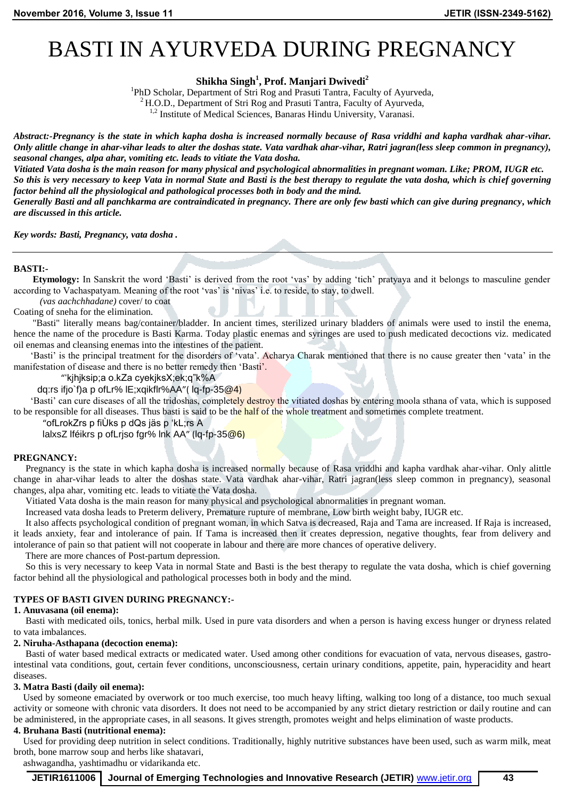# BASTI IN AYURVEDA DURING PREGNANCY

**Shikha Singh<sup>1</sup> , Prof. Manjari Dwivedi<sup>2</sup>**

<sup>1</sup>PhD Scholar, Department of Stri Rog and Prasuti Tantra, Faculty of Ayurveda,

 $^{2}$  H.O.D., Department of Stri Rog and Prasuti Tantra, Faculty of Ayurveda,

 $1,2$  Institute of Medical Sciences, Banaras Hindu University, Varanasi.

*Abstract:-Pregnancy is the state in which kapha dosha is increased normally because of Rasa vriddhi and kapha vardhak ahar-vihar. Only alittle change in ahar-vihar leads to alter the doshas state. Vata vardhak ahar-vihar, Ratri jagran(less sleep common in pregnancy), seasonal changes, alpa ahar, vomiting etc. leads to vitiate the Vata dosha.* 

*Vitiated Vata dosha is the main reason for many physical and psychological abnormalities in pregnant woman. Like; PROM, IUGR etc. So this is very necessary to keep Vata in normal State and Basti is the best therapy to regulate the vata dosha, which is chief governing factor behind all the physiological and pathological processes both in body and the mind. Generally Basti and all panchkarma are contraindicated in pregnancy. There are only few basti which can give during pregnancy, which are discussed in this article.*

*Key words: Basti, Pregnancy, vata dosha .*

## **BASTI:-**

 **Etymology:** In Sanskrit the word 'Basti' is derived from the root 'vas' by adding 'tich' pratyaya and it belongs to masculine gender according to Vachaspatyam. Meaning of the root 'vas' is 'nivas' i.e. to reside, to stay, to dwell.

*(vas aachchhadane)* cover/ to coat Coating of sneha for the elimination.

 "Basti" literally means bag/container/bladder. In ancient times, sterilized urinary bladders of animals were used to instil the enema, hence the name of the procedure is Basti Karma. Today plastic enemas and syringes are used to push medicated decoctions viz. medicated oil enemas and cleansing enemas into the intestines of the patient.

 'Basti' is the principal treatment for the disorders of 'vata'. Acharya Charak mentioned that there is no cause greater then 'vata' in the manifestation of disease and there is no better remedy then 'Basti'.

"'kjhjksip;a o.kZa cyekjksX;ek;q"k%A

dq:rs ifjo`f)a p ofLr% lE;xqikflr%AA"( lq-fp-35@4)

'Basti' can cure diseases of all the tridoshas, completely destroy the vitiated doshas by entering moola sthana of vata, which is supposed to be responsible for all diseases. Thus basti is said to be the half of the whole treatment and sometimes complete treatment.

"ofLrokZrs p fiÙks p dQs jäs p 'kL;rs A

lalxsZ lféikrs p ofLriso fgr% lnk AA" (lg-fp-35@6)

#### **PREGNANCY:**

Pregnancy is the state in which kapha dosha is increased normally because of Rasa vriddhi and kapha vardhak ahar-vihar. Only alittle change in ahar-vihar leads to alter the doshas state. Vata vardhak ahar-vihar, Ratri jagran(less sleep common in pregnancy), seasonal changes, alpa ahar, vomiting etc. leads to vitiate the Vata dosha.

Vitiated Vata dosha is the main reason for many physical and psychological abnormalities in pregnant woman.

Increased vata dosha leads to Preterm delivery, Premature rupture of membrane, Low birth weight baby, IUGR etc.

 It also affects psychological condition of pregnant woman, in which Satva is decreased, Raja and Tama are increased. If Raja is increased, it leads anxiety, fear and intolerance of pain. If Tama is increased then it creates depression, negative thoughts, fear from delivery and intolerance of pain so that patient will not cooperate in labour and there are more chances of operative delivery.

There are more chances of Post-partum depression.

 So this is very necessary to keep Vata in normal State and Basti is the best therapy to regulate the vata dosha, which is chief governing factor behind all the physiological and pathological processes both in body and the mind.

#### **TYPES OF BASTI GIVEN DURING PREGNANCY:-**

#### **1. Anuvasana (oil enema):**

 Basti with medicated oils, tonics, herbal milk. Used in pure vata disorders and when a person is having excess hunger or dryness related to vata imbalances.

#### **2. Niruha-Asthapana (decoction enema):**

Basti of water based medical extracts or medicated water. Used among other conditions for evacuation of vata, nervous diseases, gastrointestinal vata conditions, gout, certain fever conditions, unconsciousness, certain urinary conditions, appetite, pain, hyperacidity and heart diseases.

#### **3. Matra Basti (daily oil enema):**

 Used by someone emaciated by overwork or too much exercise, too much heavy lifting, walking too long of a distance, too much sexual activity or someone with chronic vata disorders. It does not need to be accompanied by any strict dietary restriction or daily routine and can be administered, in the appropriate cases, in all seasons. It gives strength, promotes weight and helps elimination of waste products.

## **4. Bruhana Basti (nutritional enema):**

Used for providing deep nutrition in select conditions. Traditionally, highly nutritive substances have been used, such as warm milk, meat broth, bone marrow soup and herbs like shatavari,

ashwagandha, yashtimadhu or vidarikanda etc.

**JETIR1611006 Journal of Emerging Technologies and Innovative Research (JETIR)** www.jetir.org **43**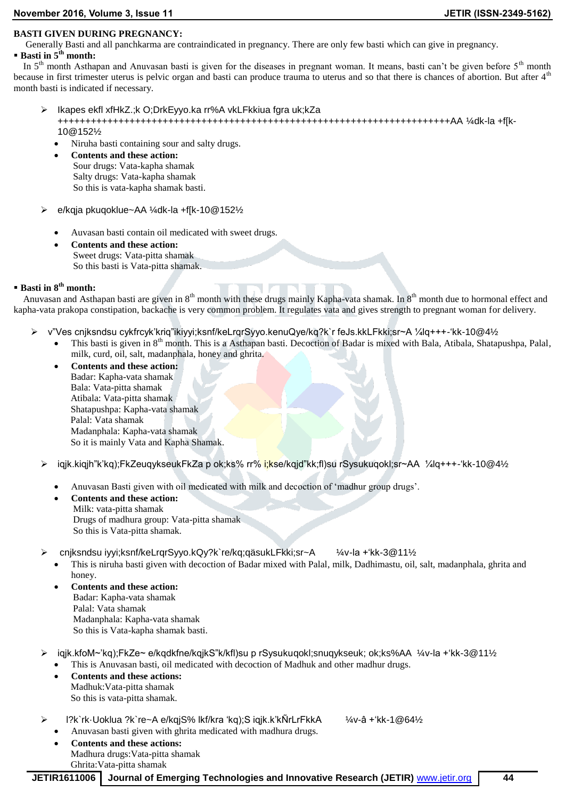#### **November 2016, Volume 3, Issue 11 JETIR (ISSN-2349-5162)**

## **BASTI GIVEN DURING PREGNANCY:**

Generally Basti and all panchkarma are contraindicated in pregnancy. There are only few basti which can give in pregnancy.

**Basti in 5th month:**

In  $5<sup>th</sup>$  month Asthapan and Anuvasan basti is given for the diseases in pregnant woman. It means, basti can't be given before  $5<sup>th</sup>$  month because in first trimester uterus is pelvic organ and basti can produce trauma to uterus and so that there is chances of abortion. But after  $4<sup>th</sup>$ month basti is indicated if necessary.

- Ikapes ekfl xfHkZ.;k O;DrkEyyo.ka rr%A vkLFkkiua fgra uk;kZa +++++++++++++++++++++++++++++++++++++++++++++++++++++++++++++++++++++++AA ¼dk-la +f[k-10@152½
	- Niruha basti containing sour and salty drugs.
	- **Contents and these action:** Sour drugs: Vata-kapha shamak Salty drugs: Vata-kapha shamak So this is vata-kapha shamak basti.
- e/kqja pkuqoklue~AA ¼dk-la +f[k-10@152½
	- Auvasan basti contain oil medicated with sweet drugs.
	- **Contents and these action:** Sweet drugs: Vata-pitta shamak So this basti is Vata-pitta shamak.

# **Basti in 8th month:**

Anuvasan and Asthapan basti are given in 8<sup>th</sup> month with these drugs mainly Kapha-vata shamak. In 8<sup>th</sup> month due to hormonal effect and kapha-vata prakopa constipation, backache is very common problem. It regulates vata and gives strength to pregnant woman for delivery.

- v"Ves cnjksndsu cykfrcyk'kriq"ikiyyi;ksnf/keLrqrSyyo.kenuQye/kq?k`r feJs.kkLFkki;sr~A ¼lq+++-'kk-10@4½
	- This basti is given in 8<sup>th</sup> month. This is a Asthapan basti. Decoction of Badar is mixed with Bala, Atibala, Shatapushpa, Palal, milk, curd, oil, salt, madanphala, honey and ghrita.
		- **Contents and these action:** Badar: Kapha-vata shamak Bala: Vata-pitta shamak Atibala: Vata-pitta shamak Shatapushpa: Kapha-vata shamak Palal: Vata shamak Madanphala: Kapha-vata shamak So it is mainly Vata and Kapha Shamak.
	- iqjk.kiqjh"k'kq);FkZeuqykseukFkZa p ok;ks% rr% i;kse/kqjd"kk;fl)su rSysukuqokl;sr~AA ¼lq+++-'kk-10@4½
		- Anuvasan Basti given with oil medicated with milk and decoction of 'madhur group drugs'.
		- **Contents and these action:** Milk: vata-pitta shamak Drugs of madhura group: Vata-pitta shamak So this is Vata-pitta shamak.
	- cnjksndsu iyyi;ksnf/keLrqrSyyo.kQy?k`re/kq;qäsukLFkki;sr~A ¼v-la +'kk-3@11½
		- This is niruha basti given with decoction of Badar mixed with Palal, milk, Dadhimastu, oil, salt, madanphala, ghrita and honey.
			- **Contents and these action:** Badar: Kapha-vata shamak Palal: Vata shamak Madanphala: Kapha-vata shamak So this is Vata-kapha shamak basti.
	- iqjk.kfoM~'kq);FkZe~ e/kqdkfne/kqjkS"k/kfl)su p rSysukuqokl;snuqykseuk; ok;ks%AA ¼v-la +'kk-3@11½ This is Anuvasan basti, oil medicated with decoction of Madhuk and other madhur drugs.
		- **Contents and these actions:** Madhuk:Vata-pitta shamak So this is vata-pitta shamak.
	- l?k`rk·Uoklua ?k`re~A e/kqjS% lkf/kra 'kq);S iqjk.k'kÑrLrFkkA ¼v-â +'kk-1@64½ Anuvasan basti given with ghrita medicated with madhura drugs.
		- **Contents and these actions:** Madhura drugs:Vata-pitta shamak Ghrita:Vata-pitta shamak

**JETIR1611006 Journal of Emerging Technologies and Innovative Research (JETIR)** www.jetir.org **44**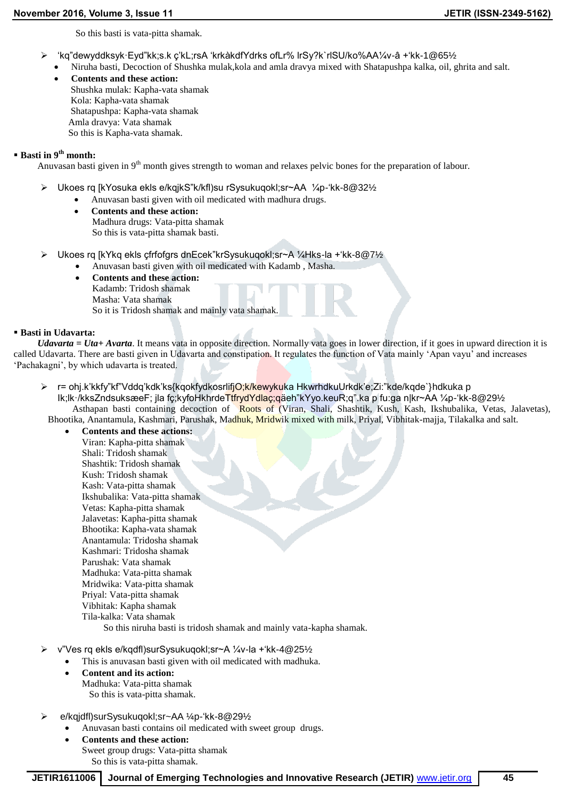So this basti is vata-pitta shamak.

- 'kq"dewyddksyk·Eyd"kk;s.k ç'kL;rsA 'krkàkdfYdrks ofLr% lrSy?k`rlSU/ko%AA¼v-â +'kk-1@65½
- Niruha basti, Decoction of Shushka mulak,kola and amla dravya mixed with Shatapushpa kalka, oil, ghrita and salt.
- **Contents and these action:**
	- Shushka mulak: Kapha-vata shamak Kola: Kapha-vata shamak Shatapushpa: Kapha-vata shamak Amla dravya: Vata shamak So this is Kapha-vata shamak.

# **Basti in 9th month:**

Anuvasan basti given in 9<sup>th</sup> month gives strength to woman and relaxes pelvic bones for the preparation of labour.

- Ukoes rq [kYosuka ekls e/kqjkS"k/kfl)su rSysukuqokl;sr~AA ¼p-'kk-8@32½
	- Anuvasan basti given with oil medicated with madhura drugs.
	- **Contents and these action:** Madhura drugs: Vata-pitta shamak So this is vata-pitta shamak basti.
- Ukoes rq [kYkq ekls çfrfofgrs dnEcek"krSysukuqokl;sr~A ¼Hks-la +'kk-8@7½
	- Anuvasan basti given with oil medicated with Kadamb , Masha.
	- **Contents and these action:** Kadamb: Tridosh shamak Masha: Vata shamak So it is Tridosh shamak and mainly vata shamak.

## **Basti in Udavarta:**

 *Udavarta = Uta+ Avarta*. It means vata in opposite direction. Normally vata goes in lower direction, if it goes in upward direction it is called Udavarta. There are basti given in Udavarta and constipation. It regulates the function of Vata mainly 'Apan vayu' and increases 'Pachakagni', by which udavarta is treated.

- > r= ohj.k'kkfy"kf"Vddq'kdk'ks{kqokfydkosrlifjO;k/kewykuka HkwrhdkuUrkdk'e;Zi:"kde/kqde`}hdkuka p Ik;lk·/kksZndsuksæeF; jla fç;kyfoHkhrdeTtfrydYdlaç;qäeh"kYyo.keuR;q".ka p fu:ga n|kr~AA ¼p-'kk-8@291⁄2 Asthapan basti containing decoction of Roots of (Viran, Shali, Shashtik, Kush, Kash, Ikshubalika, Vetas, Jalavetas), Bhootika, Anantamula, Kashmari, Parushak, Madhuk, Mridwik mixed with milk, Priyal, Vibhitak-majja, Tilakalka and salt.
- **Contents and these actions:** Viran: Kapha-pitta shamak Shali: Tridosh shamak Shashtik: Tridosh shamak Kush: Tridosh shamak Kash: Vata-pitta shamak Ikshubalika: Vata-pitta shamak Vetas: Kapha-pitta shamak Jalavetas: Kapha-pitta shamak Bhootika: Kapha-vata shamak Anantamula: Tridosha shamak Kashmari: Tridosha shamak Parushak: Vata shamak Madhuka: Vata-pitta shamak Mridwika: Vata-pitta shamak Priyal: Vata-pitta shamak Vibhitak: Kapha shamak Tila-kalka: Vata shamak So this niruha basti is tridosh shamak and mainly vata-kapha shamak.
- v"Ves rq ekls e/kqdfl)surSysukuqokl;sr~A ¼v-la +'kk-4@25½
	- This is anuvasan basti given with oil medicated with madhuka.
	- **Content and its action:** Madhuka: Vata-pitta shamak So this is vata-pitta shamak.
- e/kqjdfl)surSysukuqokl;sr~AA ¼p-'kk-8@29½
	- Anuvasan basti contains oil medicated with sweet group drugs.
		- **Contents and these action:** Sweet group drugs: Vata-pitta shamak So this is vata-pitta shamak.